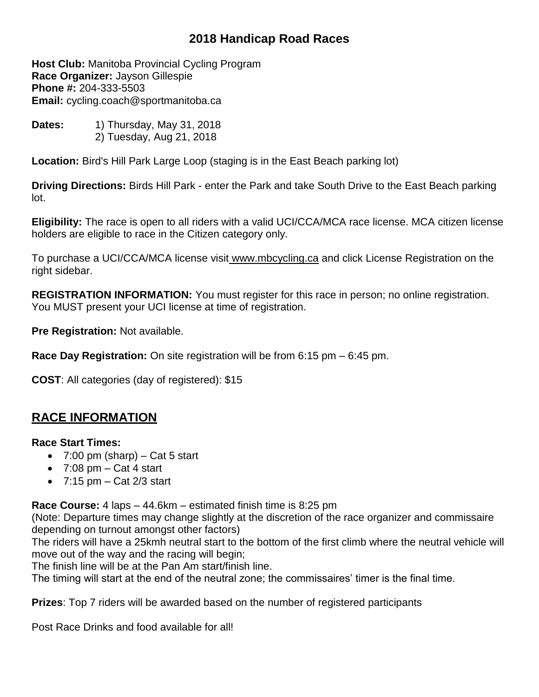# **2018 Handicap Road Races**

**Host Club:** Manitoba Provincial Cycling Program **Race Organizer:** Jayson Gillespie **Phone #:** 204-333-5503 **Email:** [cycling.coach@sportmanitoba.ca](mailto:cycling.coach@sportmanitoba.ca)

**Dates:** 1) Thursday, May 31, 2018 2) Tuesday, Aug 21, 2018

**Location:** Bird's Hill Park Large Loop (staging is in the East Beach parking lot)

**Driving Directions:** Birds Hill Park - enter the Park and take South Drive to the East Beach parking lot.

**Eligibility:** The race is open to all riders with a valid UCI/CCA/MCA race license. MCA citizen license holders are eligible to race in the Citizen category only.

To purchase a UCI/CCA/MCA license visit [www.mbcycling.ca](http://www.mbcycling.ca/) and click License Registration on the right sidebar.

**REGISTRATION INFORMATION:** You must register for this race in person; no online registration. You MUST present your UCI license at time of registration.

**Pre Registration:** Not available.

**Race Day Registration:** On site registration will be from 6:15 pm – 6:45 pm.

**COST**: All categories (day of registered): \$15

## **RACE INFORMATION**

### **Race Start Times:**

- $\bullet$  7:00 pm (sharp) Cat 5 start
- $\bullet$  7:08 pm Cat 4 start
- $\bullet$  7:15 pm Cat 2/3 start

**Race Course:** 4 laps – 44.6km – estimated finish time is 8:25 pm

(Note: Departure times may change slightly at the discretion of the race organizer and commissaire depending on turnout amongst other factors)

The riders will have a 25kmh neutral start to the bottom of the first climb where the neutral vehicle will move out of the way and the racing will begin;

The finish line will be at the Pan Am start/finish line.

The timing will start at the end of the neutral zone; the commissaires' timer is the final time.

**Prizes**: Top 7 riders will be awarded based on the number of registered participants

Post Race Drinks and food available for all!